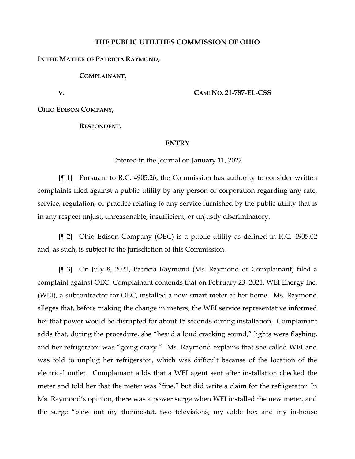#### **THE PUBLIC UTILITIES COMMISSION OF OHIO**

#### **IN THE MATTER OF PATRICIA RAYMOND,**

**COMPLAINANT,**

**V.**

**CASE NO. 21-787-EL-CSS**

**OHIO EDISON COMPANY,**

**RESPONDENT.**

#### **ENTRY**

Entered in the Journal on January 11, 2022

**{¶ 1}** Pursuant to R.C. 4905.26, the Commission has authority to consider written complaints filed against a public utility by any person or corporation regarding any rate, service, regulation, or practice relating to any service furnished by the public utility that is in any respect unjust, unreasonable, insufficient, or unjustly discriminatory.

**{¶ 2}** Ohio Edison Company (OEC) is a public utility as defined in R.C. 4905.02 and, as such, is subject to the jurisdiction of this Commission.

**{¶ 3}** On July 8, 2021, Patricia Raymond (Ms. Raymond or Complainant) filed a complaint against OEC. Complainant contends that on February 23, 2021, WEI Energy Inc. (WEI), a subcontractor for OEC, installed a new smart meter at her home. Ms. Raymond alleges that, before making the change in meters, the WEI service representative informed her that power would be disrupted for about 15 seconds during installation. Complainant adds that, during the procedure, she "heard a loud cracking sound," lights were flashing, and her refrigerator was "going crazy." Ms. Raymond explains that she called WEI and was told to unplug her refrigerator, which was difficult because of the location of the electrical outlet. Complainant adds that a WEI agent sent after installation checked the meter and told her that the meter was "fine," but did write a claim for the refrigerator. In Ms. Raymond's opinion, there was a power surge when WEI installed the new meter, and the surge "blew out my thermostat, two televisions, my cable box and my in-house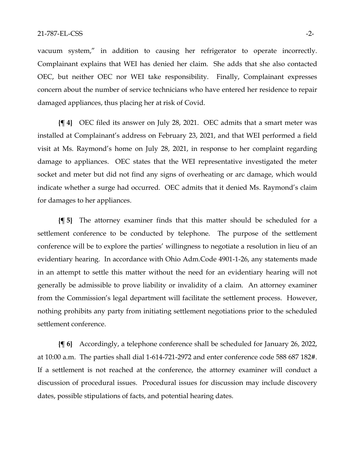vacuum system," in addition to causing her refrigerator to operate incorrectly. Complainant explains that WEI has denied her claim. She adds that she also contacted OEC, but neither OEC nor WEI take responsibility. Finally, Complainant expresses concern about the number of service technicians who have entered her residence to repair damaged appliances, thus placing her at risk of Covid.

**{¶ 4}** OEC filed its answer on July 28, 2021. OEC admits that a smart meter was installed at Complainant's address on February 23, 2021, and that WEI performed a field visit at Ms. Raymond's home on July 28, 2021, in response to her complaint regarding damage to appliances. OEC states that the WEI representative investigated the meter socket and meter but did not find any signs of overheating or arc damage, which would indicate whether a surge had occurred. OEC admits that it denied Ms. Raymond's claim for damages to her appliances.

**{¶ 5}** The attorney examiner finds that this matter should be scheduled for a settlement conference to be conducted by telephone. The purpose of the settlement conference will be to explore the parties' willingness to negotiate a resolution in lieu of an evidentiary hearing. In accordance with Ohio Adm.Code 4901-1-26, any statements made in an attempt to settle this matter without the need for an evidentiary hearing will not generally be admissible to prove liability or invalidity of a claim. An attorney examiner from the Commission's legal department will facilitate the settlement process. However, nothing prohibits any party from initiating settlement negotiations prior to the scheduled settlement conference.

**{¶ 6}** Accordingly, a telephone conference shall be scheduled for January 26, 2022, at 10:00 a.m. The parties shall dial 1-614-721-2972 and enter conference code 588 687 182#. If a settlement is not reached at the conference, the attorney examiner will conduct a discussion of procedural issues. Procedural issues for discussion may include discovery dates, possible stipulations of facts, and potential hearing dates.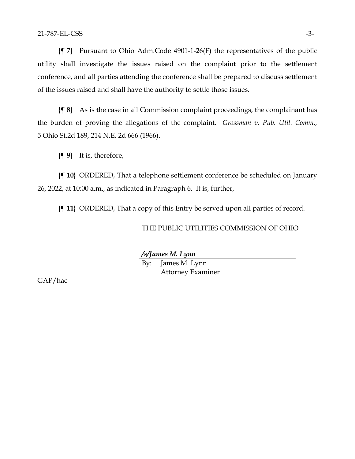**{¶ 7}** Pursuant to Ohio Adm.Code 4901-1-26(F) the representatives of the public utility shall investigate the issues raised on the complaint prior to the settlement conference, and all parties attending the conference shall be prepared to discuss settlement of the issues raised and shall have the authority to settle those issues.

**{¶ 8}** As is the case in all Commission complaint proceedings, the complainant has the burden of proving the allegations of the complaint. *Grossman v. Pub. Util. Comm.,*  5 Ohio St.2d 189, 214 N.E. 2d 666 (1966).

**{¶ 9}** It is, therefore,

**{¶ 10}** ORDERED, That a telephone settlement conference be scheduled on January 26, 2022, at 10:00 a.m., as indicated in Paragraph 6. It is, further,

**{¶ 11}** ORDERED, That a copy of this Entry be served upon all parties of record.

THE PUBLIC UTILITIES COMMISSION OF OHIO

*/s/James M. Lynn* By: James M. Lynn Attorney Examiner

GAP/hac